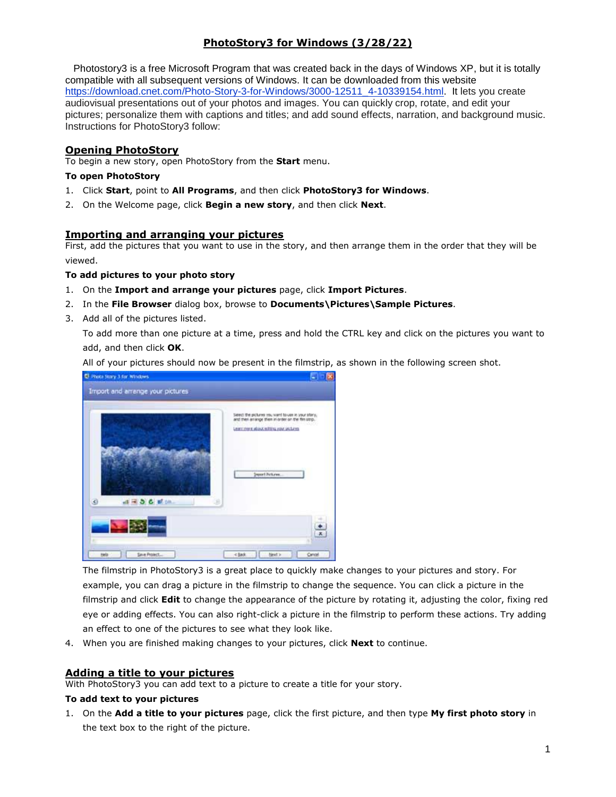# **PhotoStory3 for Windows (3/28/22)**

 Photostory3 is a free Microsoft Program that was created back in the days of Windows XP, but it is totally compatible with all subsequent versions of Windows. It can be downloaded from this website [https://download.cnet.com/Photo-Story-3-for-Windows/3000-12511\\_4-10339154.html.](https://download.cnet.com/Photo-Story-3-for-Windows/3000-12511_4-10339154.html) It lets you create audiovisual presentations out of your photos and images. You can quickly crop, rotate, and edit your pictures; personalize them with captions and titles; and add sound effects, narration, and background music. Instructions for PhotoStory3 follow:

## **Opening PhotoStory**

To begin a new story, open PhotoStory from the **Start** menu.

### **To open PhotoStory**

- 1. Click **Start**, point to **All Programs**, and then click **PhotoStory3 for Windows**.
- 2. On the Welcome page, click **Begin a new story**, and then click **Next**.

## **Importing and arranging your pictures**

First, add the pictures that you want to use in the story, and then arrange them in the order that they will be viewed.

### **To add pictures to your photo story**

- 1. On the **Import and arrange your pictures** page, click **Import Pictures**.
- 2. In the **File Browser** dialog box, browse to **Documents\Pictures\Sample Pictures**.
- 3. Add all of the pictures listed.

To add more than one picture at a time, press and hold the CTRL key and click on the pictures you want to add, and then click **OK**.

All of your pictures should now be present in the filmstrip, as shown in the following screen shot.



The filmstrip in PhotoStory3 is a great place to quickly make changes to your pictures and story. For example, you can drag a picture in the filmstrip to change the sequence. You can click a picture in the filmstrip and click **Edit** to change the appearance of the picture by rotating it, adjusting the color, fixing red eye or adding effects. You can also right-click a picture in the filmstrip to perform these actions. Try adding an effect to one of the pictures to see what they look like.

4. When you are finished making changes to your pictures, click **Next** to continue.

## **Adding a title to your pictures**

With PhotoStory3 you can add text to a picture to create a title for your story.

### **To add text to your pictures**

1. On the **Add a title to your pictures** page, click the first picture, and then type **My first photo story** in the text box to the right of the picture.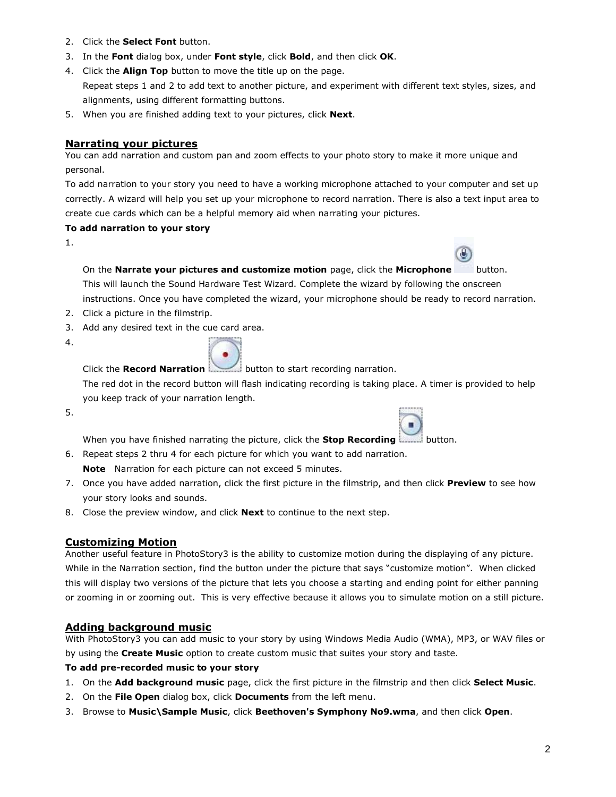- 2. Click the **Select Font** button.
- 3. In the **Font** dialog box, under **Font style**, click **Bold**, and then click **OK**.
- 4. Click the **Align Top** button to move the title up on the page. Repeat steps 1 and 2 to add text to another picture, and experiment with different text styles, sizes, and alignments, using different formatting buttons.
- 5. When you are finished adding text to your pictures, click **Next**.

# **Narrating your pictures**

You can add narration and custom pan and zoom effects to your photo story to make it more unique and personal.

To add narration to your story you need to have a working microphone attached to your computer and set up correctly. A wizard will help you set up your microphone to record narration. There is also a text input area to create cue cards which can be a helpful memory aid when narrating your pictures.

## **To add narration to your story**

1.

On the **Narrate your pictures and customize motion** page, click the **Microphone** button.

This will launch the Sound Hardware Test Wizard. Complete the wizard by following the onscreen

instructions. Once you have completed the wizard, your microphone should be ready to record narration.

- 2. Click a picture in the filmstrip.
- 3. Add any desired text in the cue card area.
- 4.



Click the **Record Narration** button to start recording narration.

The red dot in the record button will flash indicating recording is taking place. A timer is provided to help you keep track of your narration length.

5.



When you have finished narrating the picture, click the **Stop Recording** button.

- 6. Repeat steps 2 thru 4 for each picture for which you want to add narration. **Note** Narration for each picture can not exceed 5 minutes.
- 7. Once you have added narration, click the first picture in the filmstrip, and then click **Preview** to see how your story looks and sounds.
- 8. Close the preview window, and click **Next** to continue to the next step.

# **Customizing Motion**

Another useful feature in PhotoStory3 is the ability to customize motion during the displaying of any picture. While in the Narration section, find the button under the picture that says "customize motion". When clicked this will display two versions of the picture that lets you choose a starting and ending point for either panning or zooming in or zooming out. This is very effective because it allows you to simulate motion on a still picture.

# **Adding background music**

With PhotoStory3 you can add music to your story by using Windows Media Audio (WMA), MP3, or WAV files or by using the **Create Music** option to create custom music that suites your story and taste.

# **To add pre-recorded music to your story**

- 1. On the **Add background music** page, click the first picture in the filmstrip and then click **Select Music**.
- 2. On the **File Open** dialog box, click **Documents** from the left menu.
- 3. Browse to **Music\Sample Music**, click **Beethoven's Symphony No9.wma**, and then click **Open**.